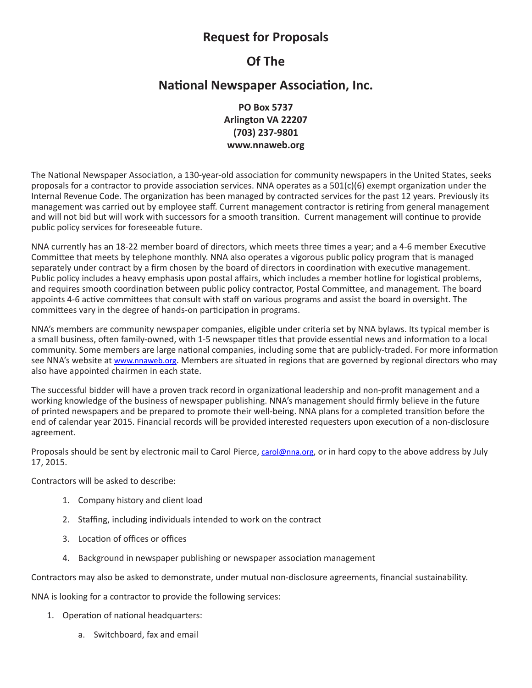## **Request for Proposals**

# **Of The**

## **National Newspaper Association, Inc.**

**PO Box 5737 Arlington VA 22207 (703) 237-9801 www.nnaweb.org**

The National Newspaper Association, a 130-year-old association for community newspapers in the United States, seeks proposals for a contractor to provide association services. NNA operates as a 501(c)(6) exempt organization under the Internal Revenue Code. The organization has been managed by contracted services for the past 12 years. Previously its management was carried out by employee staff. Current management contractor is retiring from general management and will not bid but will work with successors for a smooth transition. Current management will continue to provide public policy services for foreseeable future.

NNA currently has an 18-22 member board of directors, which meets three times a year; and a 4-6 member Executive Committee that meets by telephone monthly. NNA also operates a vigorous public policy program that is managed separately under contract by a firm chosen by the board of directors in coordination with executive management. Public policy includes a heavy emphasis upon postal affairs, which includes a member hotline for logistical problems, and requires smooth coordination between public policy contractor, Postal Committee, and management. The board appoints 4-6 active committees that consult with staff on various programs and assist the board in oversight. The committees vary in the degree of hands-on participation in programs.

NNA's members are community newspaper companies, eligible under criteria set by NNA bylaws. Its typical member is a small business, often family-owned, with 1-5 newspaper titles that provide essential news and information to a local community. Some members are large national companies, including some that are publicly-traded. For more information see NNA's website at www.nnaweb.org. Members are situated in regions that are governed by regional directors who may also have appointed chairmen in each state.

The successful bidder will have a proven track record in organizational leadership and non-profit management and a working knowledge of the business of newspaper publishing. NNA's management should firmly believe in the future of printed newspapers and be prepared to promote their well-being. NNA plans for a completed transition before the end of calendar year 2015. Financial records will be provided interested requesters upon execution of a non-disclosure agreement.

Proposals should be sent by electronic mail to Carol Pierce, carol@nna.org, or in hard copy to the above address by July 17, 2015.

Contractors will be asked to describe:

- 1. Company history and client load
- 2. Staffing, including individuals intended to work on the contract
- 3. Location of offices or offices
- 4. Background in newspaper publishing or newspaper association management

Contractors may also be asked to demonstrate, under mutual non-disclosure agreements, financial sustainability.

NNA is looking for a contractor to provide the following services:

- 1. Operation of national headquarters:
	- a. Switchboard, fax and email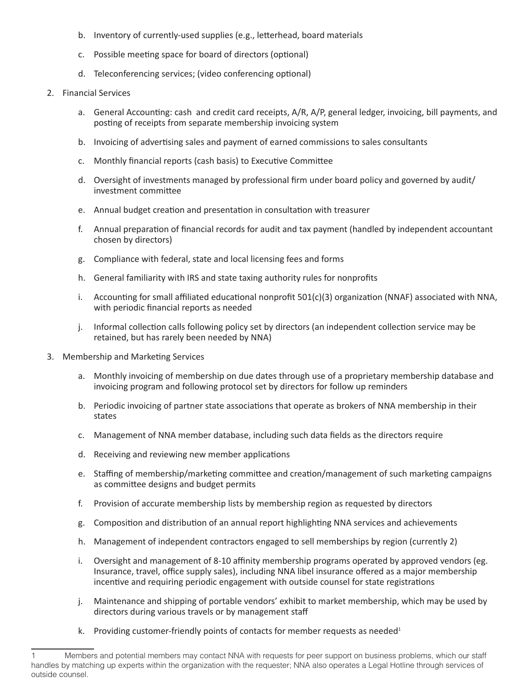- b. Inventory of currently-used supplies (e.g., letterhead, board materials
- c. Possible meeting space for board of directors (optional)
- d. Teleconferencing services; (video conferencing optional)

#### 2. Financial Services

- a. General Accounting: cash and credit card receipts, A/R, A/P, general ledger, invoicing, bill payments, and posting of receipts from separate membership invoicing system
- b. Invoicing of advertising sales and payment of earned commissions to sales consultants
- c. Monthly financial reports (cash basis) to Executive Committee
- d. Oversight of investments managed by professional firm under board policy and governed by audit/ investment committee
- e. Annual budget creation and presentation in consultation with treasurer
- f. Annual preparation of financial records for audit and tax payment (handled by independent accountant chosen by directors)
- g. Compliance with federal, state and local licensing fees and forms
- h. General familiarity with IRS and state taxing authority rules for nonprofits
- i. Accounting for small affiliated educational nonprofit  $501(c)(3)$  organization (NNAF) associated with NNA, with periodic financial reports as needed
- j. Informal collection calls following policy set by directors (an independent collection service may be retained, but has rarely been needed by NNA)
- 3. Membership and Marketing Services
	- a. Monthly invoicing of membership on due dates through use of a proprietary membership database and invoicing program and following protocol set by directors for follow up reminders
	- b. Periodic invoicing of partner state associations that operate as brokers of NNA membership in their states
	- c. Management of NNA member database, including such data fields as the directors require
	- d. Receiving and reviewing new member applications
	- e. Staffing of membership/marketing committee and creation/management of such marketing campaigns as committee designs and budget permits
	- f. Provision of accurate membership lists by membership region as requested by directors
	- g. Composition and distribution of an annual report highlighting NNA services and achievements
	- h. Management of independent contractors engaged to sell memberships by region (currently 2)
	- i. Oversight and management of 8-10 affinity membership programs operated by approved vendors (eg. Insurance, travel, office supply sales), including NNA libel insurance offered as a major membership incentive and requiring periodic engagement with outside counsel for state registrations
	- j. Maintenance and shipping of portable vendors' exhibit to market membership, which may be used by directors during various travels or by management staff
	- k. Providing customer-friendly points of contacts for member requests as needed $1$

Members and potential members may contact NNA with requests for peer support on business problems, which our staff handles by matching up experts within the organization with the requester; NNA also operates a Legal Hotline through services of outside counsel.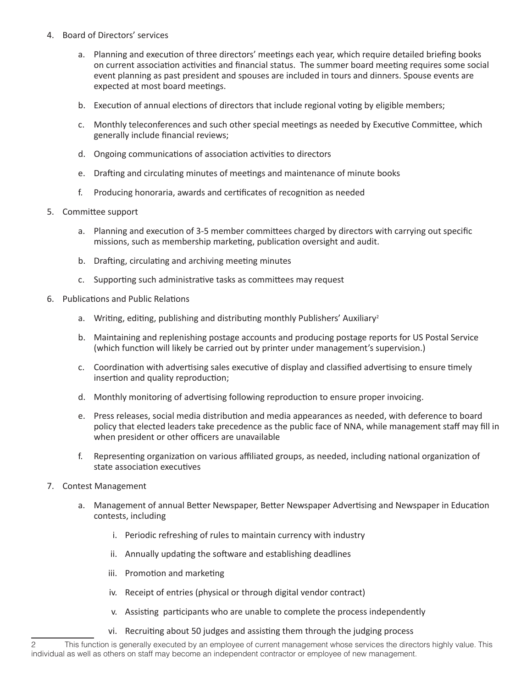- 4. Board of Directors' services
	- a. Planning and execution of three directors' meetings each year, which require detailed briefing books on current association activities and financial status. The summer board meeting requires some social event planning as past president and spouses are included in tours and dinners. Spouse events are expected at most board meetings.
	- b. Execution of annual elections of directors that include regional voting by eligible members;
	- c. Monthly teleconferences and such other special meetings as needed by Executive Committee, which generally include financial reviews;
	- d. Ongoing communications of association activities to directors
	- e. Drafting and circulating minutes of meetings and maintenance of minute books
	- f. Producing honoraria, awards and certificates of recognition as needed

### 5. Committee support

- a. Planning and execution of 3-5 member committees charged by directors with carrying out specific missions, such as membership marketing, publication oversight and audit.
- b. Drafting, circulating and archiving meeting minutes
- c. Supporting such administrative tasks as committees may request
- 6. Publications and Public Relations
	- a. Writing, editing, publishing and distributing monthly Publishers' Auxiliary<sup>2</sup>
	- b. Maintaining and replenishing postage accounts and producing postage reports for US Postal Service (which function will likely be carried out by printer under management's supervision.)
	- c. Coordination with advertising sales executive of display and classified advertising to ensure timely insertion and quality reproduction;
	- d. Monthly monitoring of advertising following reproduction to ensure proper invoicing.
	- e. Press releases, social media distribution and media appearances as needed, with deference to board policy that elected leaders take precedence as the public face of NNA, while management staff may fill in when president or other officers are unavailable
	- f. Representing organization on various affiliated groups, as needed, including national organization of state association executives
- 7. Contest Management
	- a. Management of annual Better Newspaper, Better Newspaper Advertising and Newspaper in Education contests, including
		- i. Periodic refreshing of rules to maintain currency with industry
		- ii. Annually updating the software and establishing deadlines
		- iii. Promotion and marketing
		- iv. Receipt of entries (physical or through digital vendor contract)
		- v. Assisting participants who are unable to complete the process independently
		- vi. Recruiting about 50 judges and assisting them through the judging process

<sup>2</sup> This function is generally executed by an employee of current management whose services the directors highly value. This individual as well as others on staff may become an independent contractor or employee of new management.